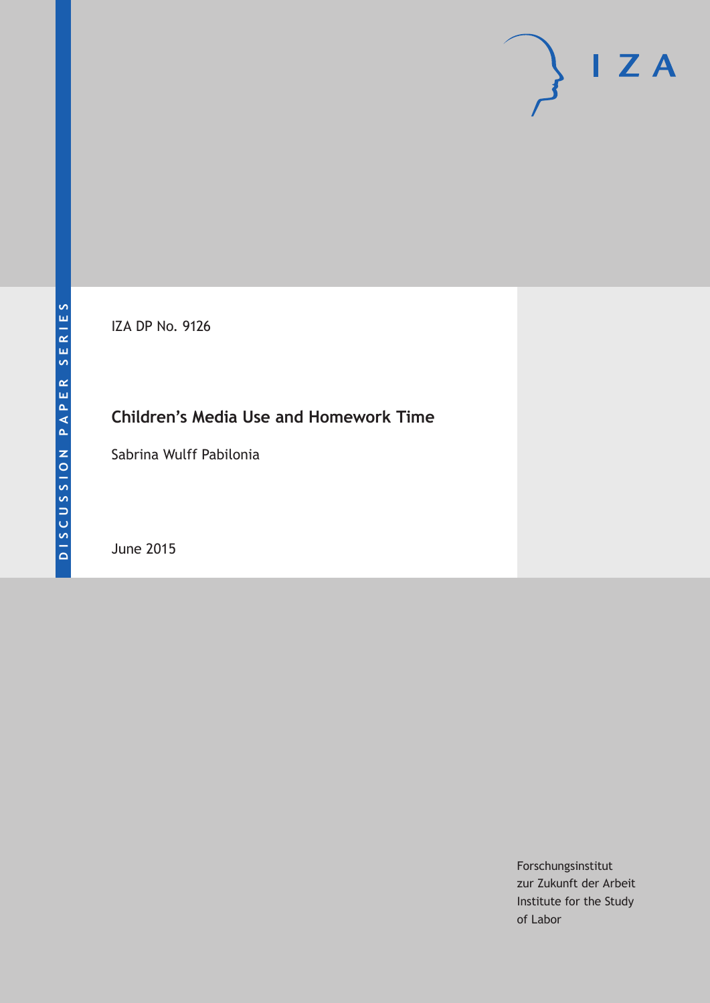IZA DP No. 9126

# **Children's Media Use and Homework Time**

Sabrina Wulff Pabilonia

June 2015

Forschungsinstitut zur Zukunft der Arbeit Institute for the Study of Labor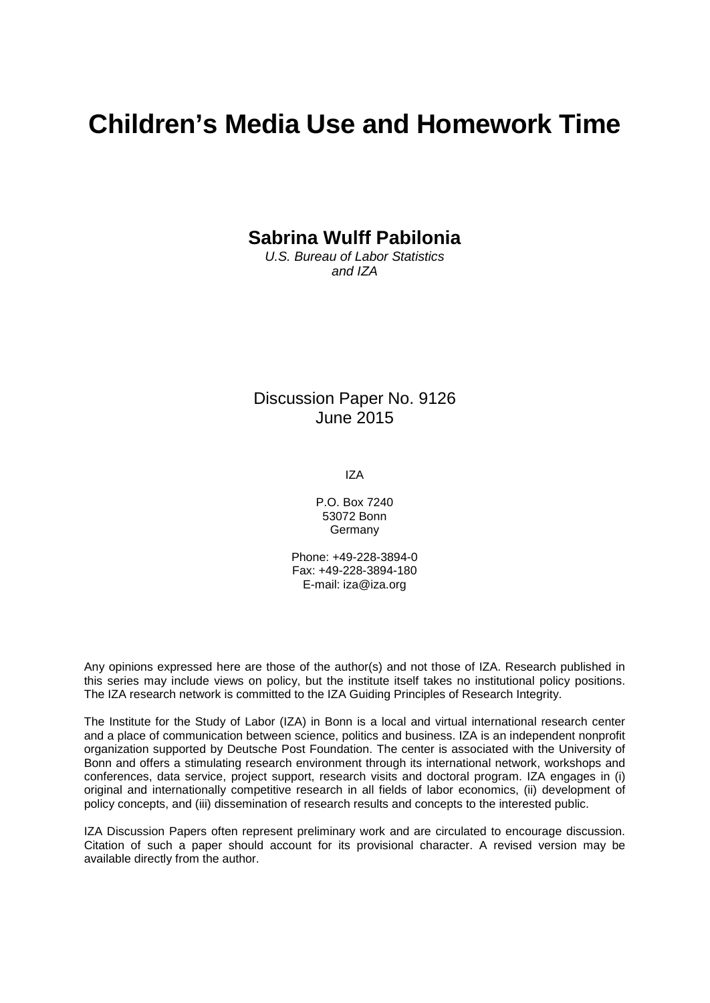# **Children's Media Use and Homework Time**

**Sabrina Wulff Pabilonia**

*U.S. Bureau of Labor Statistics and IZA*

Discussion Paper No. 9126 June 2015

IZA

P.O. Box 7240 53072 Bonn Germany

Phone: +49-228-3894-0 Fax: +49-228-3894-180 E-mail: iza@iza.org

Any opinions expressed here are those of the author(s) and not those of IZA. Research published in this series may include views on policy, but the institute itself takes no institutional policy positions. The IZA research network is committed to the IZA Guiding Principles of Research Integrity.

The Institute for the Study of Labor (IZA) in Bonn is a local and virtual international research center and a place of communication between science, politics and business. IZA is an independent nonprofit organization supported by Deutsche Post Foundation. The center is associated with the University of Bonn and offers a stimulating research environment through its international network, workshops and conferences, data service, project support, research visits and doctoral program. IZA engages in (i) original and internationally competitive research in all fields of labor economics, (ii) development of policy concepts, and (iii) dissemination of research results and concepts to the interested public.

<span id="page-1-0"></span>IZA Discussion Papers often represent preliminary work and are circulated to encourage discussion. Citation of such a paper should account for its provisional character. A revised version may be available directly from the author.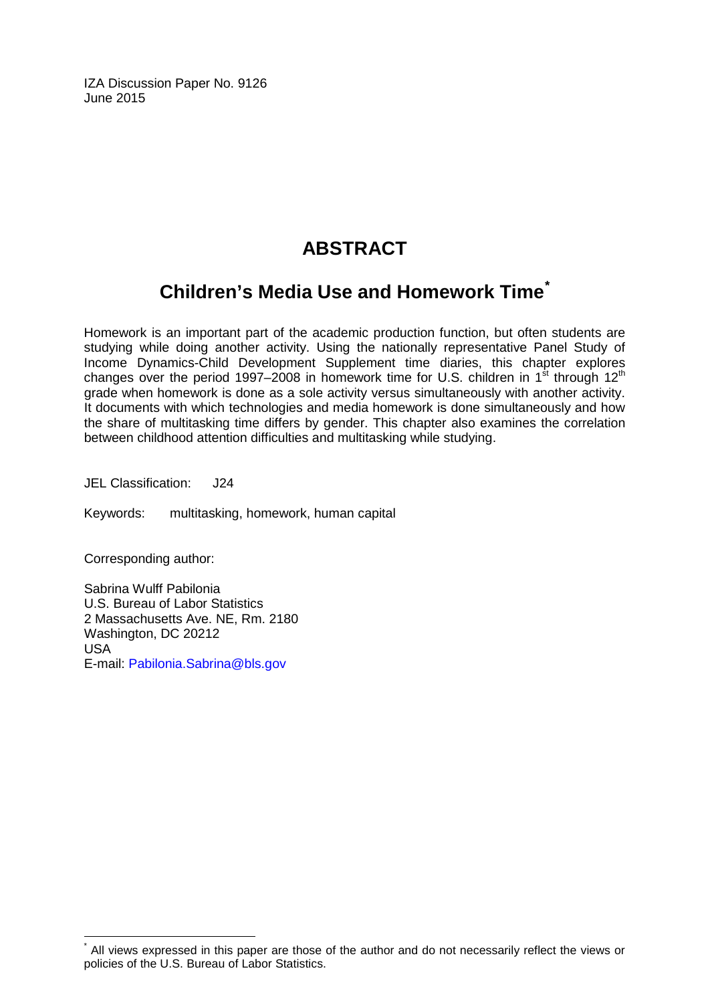IZA Discussion Paper No. 9126 June 2015

# **ABSTRACT**

# **Children's Media Use and Homework Time[\\*](#page-1-0)**

Homework is an important part of the academic production function, but often students are studying while doing another activity. Using the nationally representative Panel Study of Income Dynamics-Child Development Supplement time diaries, this chapter explores changes over the period 1997–2008 in homework time for U.S. children in 1st through  $12<sup>th</sup>$ grade when homework is done as a sole activity versus simultaneously with another activity. It documents with which technologies and media homework is done simultaneously and how the share of multitasking time differs by gender. This chapter also examines the correlation between childhood attention difficulties and multitasking while studying.

JEL Classification: J24

Keywords: multitasking, homework, human capital

Corresponding author:

Sabrina Wulff Pabilonia U.S. Bureau of Labor Statistics 2 Massachusetts Ave. NE, Rm. 2180 Washington, DC 20212 USA E-mail: [Pabilonia.Sabrina@bls.gov](mailto:Pabilonia.Sabrina@bls.gov)

All views expressed in this paper are those of the author and do not necessarily reflect the views or policies of the U.S. Bureau of Labor Statistics.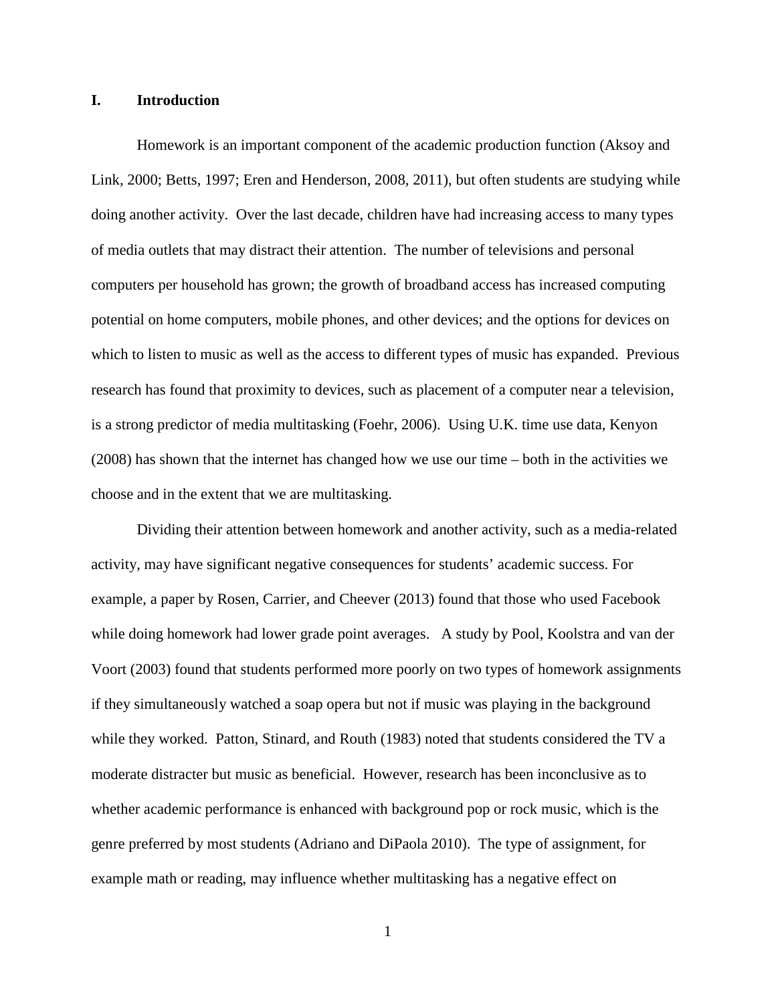#### **I. Introduction**

Homework is an important component of the academic production function (Aksoy and Link, 2000; Betts, 1997; Eren and Henderson, 2008, 2011), but often students are studying while doing another activity. Over the last decade, children have had increasing access to many types of media outlets that may distract their attention. The number of televisions and personal computers per household has grown; the growth of broadband access has increased computing potential on home computers, mobile phones, and other devices; and the options for devices on which to listen to music as well as the access to different types of music has expanded. Previous research has found that proximity to devices, such as placement of a computer near a television, is a strong predictor of media multitasking (Foehr, 2006). Using U.K. time use data, Kenyon (2008) has shown that the internet has changed how we use our time – both in the activities we choose and in the extent that we are multitasking.

Dividing their attention between homework and another activity, such as a media-related activity, may have significant negative consequences for students' academic success. For example, a paper by Rosen, Carrier, and Cheever (2013) found that those who used Facebook while doing homework had lower grade point averages. A study by Pool, Koolstra and van der Voort (2003) found that students performed more poorly on two types of homework assignments if they simultaneously watched a soap opera but not if music was playing in the background while they worked. Patton, Stinard, and Routh (1983) noted that students considered the TV a moderate distracter but music as beneficial. However, research has been inconclusive as to whether academic performance is enhanced with background pop or rock music, which is the genre preferred by most students (Adriano and DiPaola 2010). The type of assignment, for example math or reading, may influence whether multitasking has a negative effect on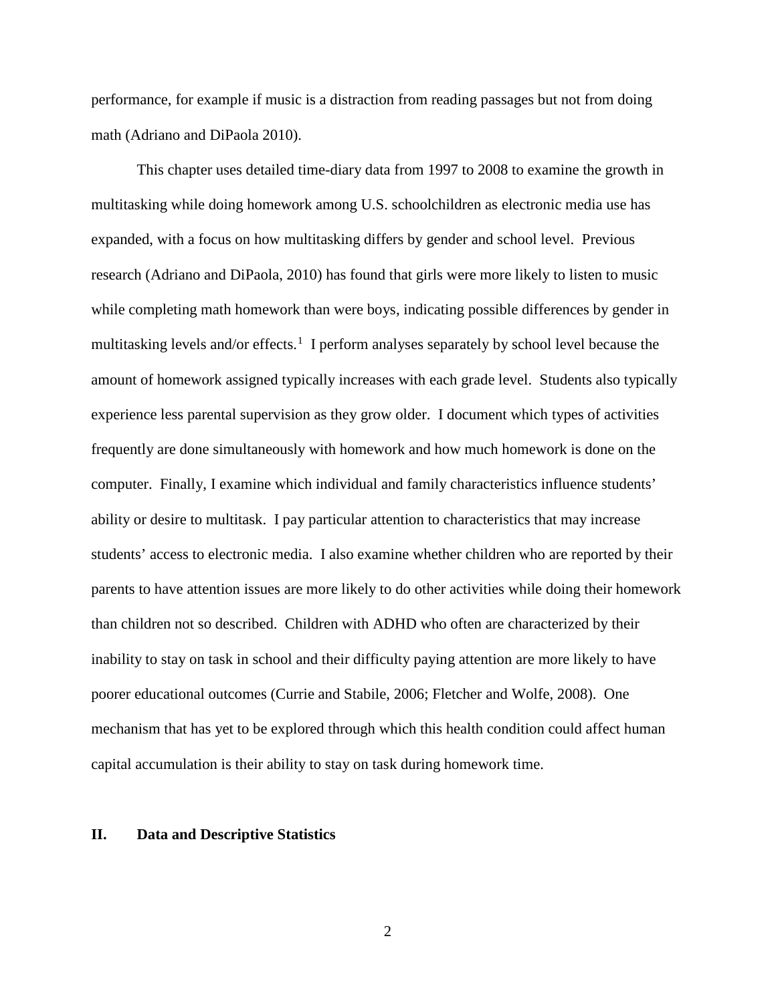performance, for example if music is a distraction from reading passages but not from doing math (Adriano and DiPaola 2010).

This chapter uses detailed time-diary data from 1997 to 2008 to examine the growth in multitasking while doing homework among U.S. schoolchildren as electronic media use has expanded, with a focus on how multitasking differs by gender and school level. Previous research (Adriano and DiPaola, 2010) has found that girls were more likely to listen to music while completing math homework than were boys, indicating possible differences by gender in multitasking levels and/or effects.<sup>[1](#page-14-0)</sup> I perform analyses separately by school level because the amount of homework assigned typically increases with each grade level. Students also typically experience less parental supervision as they grow older. I document which types of activities frequently are done simultaneously with homework and how much homework is done on the computer. Finally, I examine which individual and family characteristics influence students' ability or desire to multitask. I pay particular attention to characteristics that may increase students' access to electronic media. I also examine whether children who are reported by their parents to have attention issues are more likely to do other activities while doing their homework than children not so described. Children with ADHD who often are characterized by their inability to stay on task in school and their difficulty paying attention are more likely to have poorer educational outcomes (Currie and Stabile, 2006; Fletcher and Wolfe, 2008). One mechanism that has yet to be explored through which this health condition could affect human capital accumulation is their ability to stay on task during homework time.

#### **II. Data and Descriptive Statistics**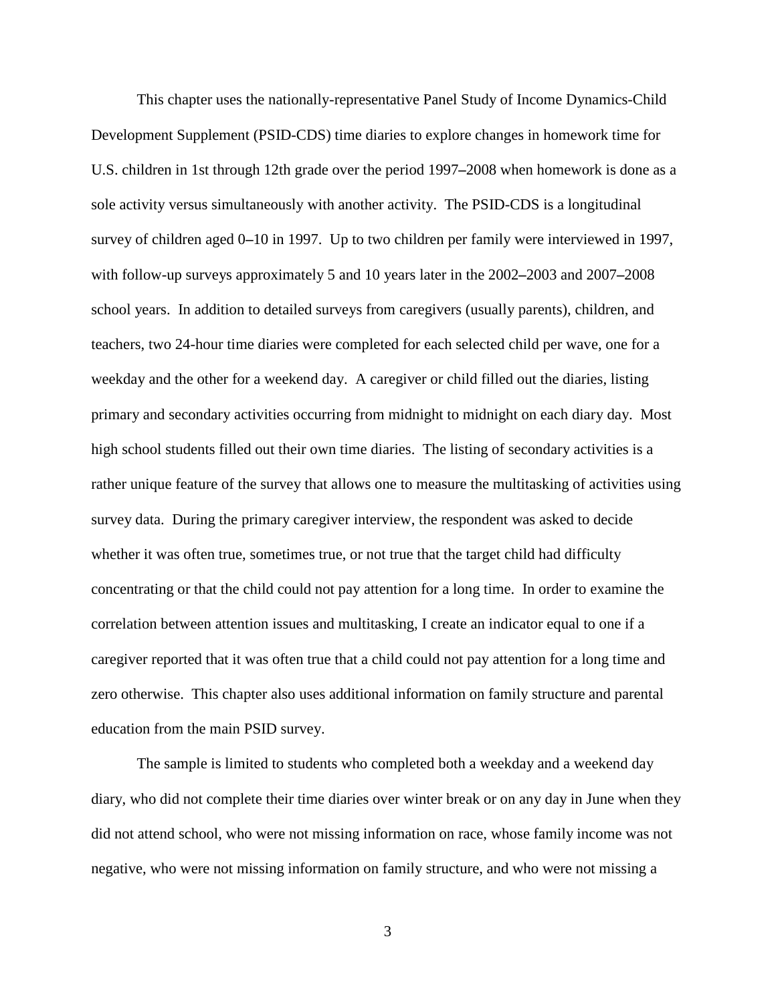This chapter uses the nationally-representative Panel Study of Income Dynamics-Child Development Supplement (PSID-CDS) time diaries to explore changes in homework time for U.S. children in 1st through 12th grade over the period 1997**–**2008 when homework is done as a sole activity versus simultaneously with another activity. The PSID-CDS is a longitudinal survey of children aged 0**–**10 in 1997. Up to two children per family were interviewed in 1997, with follow-up surveys approximately 5 and 10 years later in the 2002**–**2003 and 2007**–**2008 school years. In addition to detailed surveys from caregivers (usually parents), children, and teachers, two 24-hour time diaries were completed for each selected child per wave, one for a weekday and the other for a weekend day. A caregiver or child filled out the diaries, listing primary and secondary activities occurring from midnight to midnight on each diary day. Most high school students filled out their own time diaries. The listing of secondary activities is a rather unique feature of the survey that allows one to measure the multitasking of activities using survey data. During the primary caregiver interview, the respondent was asked to decide whether it was often true, sometimes true, or not true that the target child had difficulty concentrating or that the child could not pay attention for a long time. In order to examine the correlation between attention issues and multitasking, I create an indicator equal to one if a caregiver reported that it was often true that a child could not pay attention for a long time and zero otherwise. This chapter also uses additional information on family structure and parental education from the main PSID survey.

The sample is limited to students who completed both a weekday and a weekend day diary, who did not complete their time diaries over winter break or on any day in June when they did not attend school, who were not missing information on race, whose family income was not negative, who were not missing information on family structure, and who were not missing a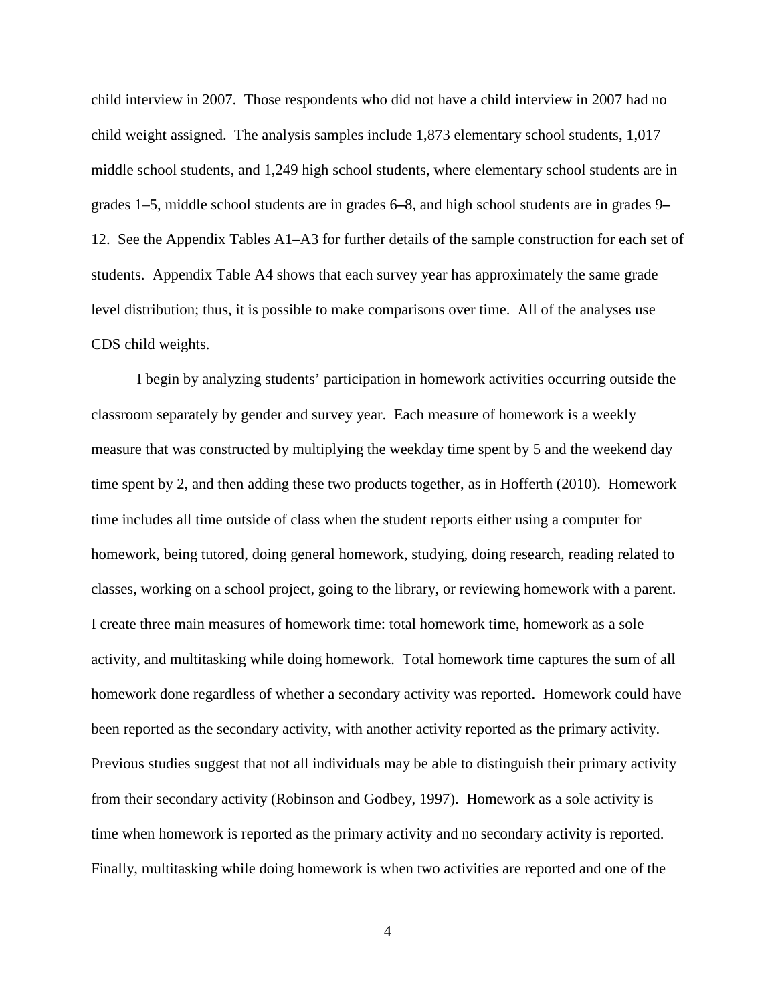child interview in 2007. Those respondents who did not have a child interview in 2007 had no child weight assigned. The analysis samples include 1,873 elementary school students, 1,017 middle school students, and 1,249 high school students, where elementary school students are in grades 1–5, middle school students are in grades 6**–**8, and high school students are in grades 9**–** 12. See the Appendix Tables A1**–**A3 for further details of the sample construction for each set of students. Appendix Table A4 shows that each survey year has approximately the same grade level distribution; thus, it is possible to make comparisons over time. All of the analyses use CDS child weights.

I begin by analyzing students' participation in homework activities occurring outside the classroom separately by gender and survey year. Each measure of homework is a weekly measure that was constructed by multiplying the weekday time spent by 5 and the weekend day time spent by 2, and then adding these two products together, as in Hofferth (2010). Homework time includes all time outside of class when the student reports either using a computer for homework, being tutored, doing general homework, studying, doing research, reading related to classes, working on a school project, going to the library, or reviewing homework with a parent. I create three main measures of homework time: total homework time, homework as a sole activity, and multitasking while doing homework. Total homework time captures the sum of all homework done regardless of whether a secondary activity was reported. Homework could have been reported as the secondary activity, with another activity reported as the primary activity. Previous studies suggest that not all individuals may be able to distinguish their primary activity from their secondary activity (Robinson and Godbey, 1997). Homework as a sole activity is time when homework is reported as the primary activity and no secondary activity is reported. Finally, multitasking while doing homework is when two activities are reported and one of the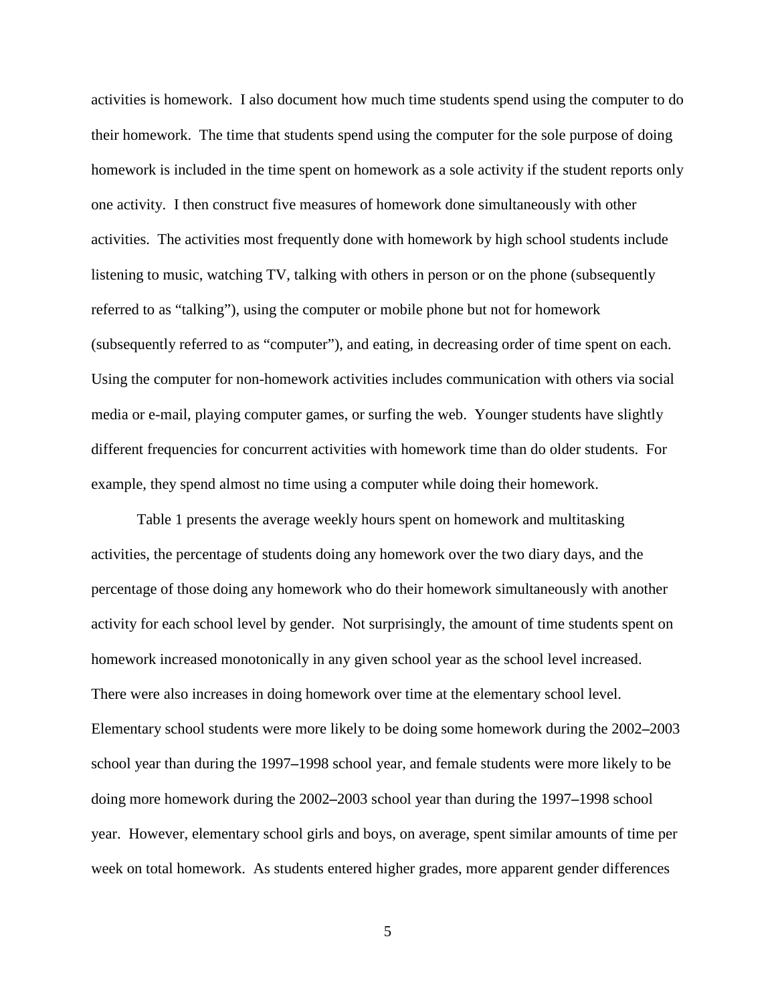activities is homework. I also document how much time students spend using the computer to do their homework. The time that students spend using the computer for the sole purpose of doing homework is included in the time spent on homework as a sole activity if the student reports only one activity. I then construct five measures of homework done simultaneously with other activities. The activities most frequently done with homework by high school students include listening to music, watching TV, talking with others in person or on the phone (subsequently referred to as "talking"), using the computer or mobile phone but not for homework (subsequently referred to as "computer"), and eating, in decreasing order of time spent on each. Using the computer for non-homework activities includes communication with others via social media or e-mail, playing computer games, or surfing the web. Younger students have slightly different frequencies for concurrent activities with homework time than do older students. For example, they spend almost no time using a computer while doing their homework.

Table 1 presents the average weekly hours spent on homework and multitasking activities, the percentage of students doing any homework over the two diary days, and the percentage of those doing any homework who do their homework simultaneously with another activity for each school level by gender. Not surprisingly, the amount of time students spent on homework increased monotonically in any given school year as the school level increased. There were also increases in doing homework over time at the elementary school level. Elementary school students were more likely to be doing some homework during the 2002**–**2003 school year than during the 1997**–**1998 school year, and female students were more likely to be doing more homework during the 2002**–**2003 school year than during the 1997**–**1998 school year. However, elementary school girls and boys, on average, spent similar amounts of time per week on total homework. As students entered higher grades, more apparent gender differences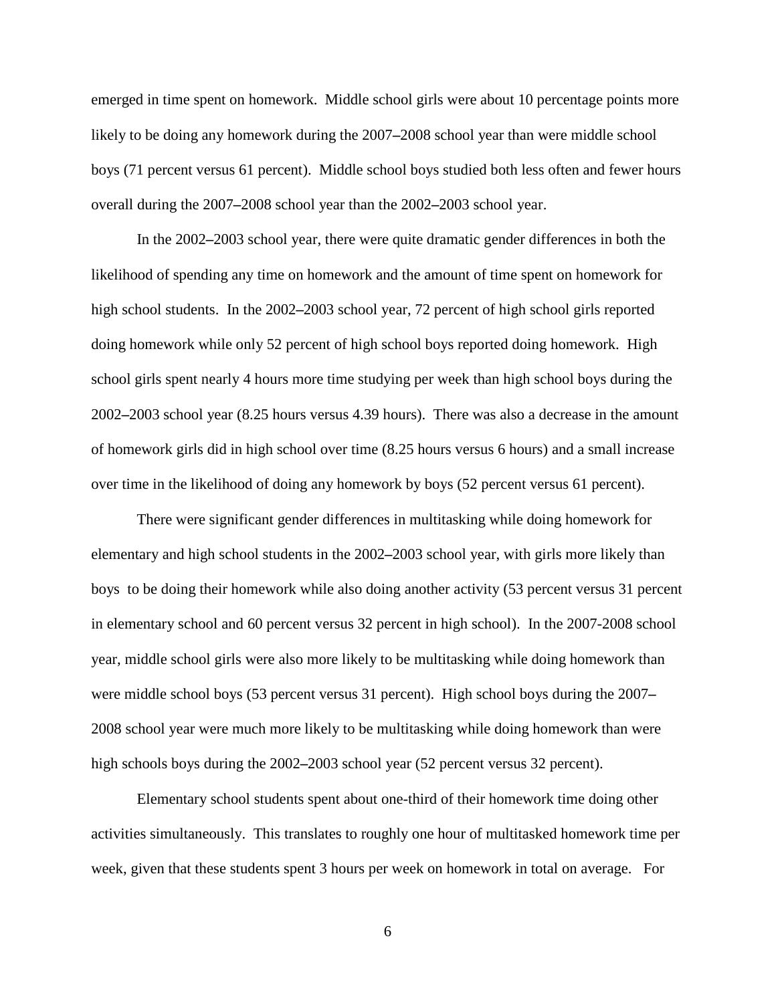emerged in time spent on homework. Middle school girls were about 10 percentage points more likely to be doing any homework during the 2007**–**2008 school year than were middle school boys (71 percent versus 61 percent). Middle school boys studied both less often and fewer hours overall during the 2007**–**2008 school year than the 2002**–**2003 school year.

In the 2002**–**2003 school year, there were quite dramatic gender differences in both the likelihood of spending any time on homework and the amount of time spent on homework for high school students. In the 2002**–**2003 school year, 72 percent of high school girls reported doing homework while only 52 percent of high school boys reported doing homework. High school girls spent nearly 4 hours more time studying per week than high school boys during the 2002**–**2003 school year (8.25 hours versus 4.39 hours). There was also a decrease in the amount of homework girls did in high school over time (8.25 hours versus 6 hours) and a small increase over time in the likelihood of doing any homework by boys (52 percent versus 61 percent).

There were significant gender differences in multitasking while doing homework for elementary and high school students in the 2002**–**2003 school year, with girls more likely than boys to be doing their homework while also doing another activity (53 percent versus 31 percent in elementary school and 60 percent versus 32 percent in high school). In the 2007-2008 school year, middle school girls were also more likely to be multitasking while doing homework than were middle school boys (53 percent versus 31 percent). High school boys during the 2007**–** 2008 school year were much more likely to be multitasking while doing homework than were high schools boys during the 2002**–**2003 school year (52 percent versus 32 percent).

Elementary school students spent about one-third of their homework time doing other activities simultaneously. This translates to roughly one hour of multitasked homework time per week, given that these students spent 3 hours per week on homework in total on average. For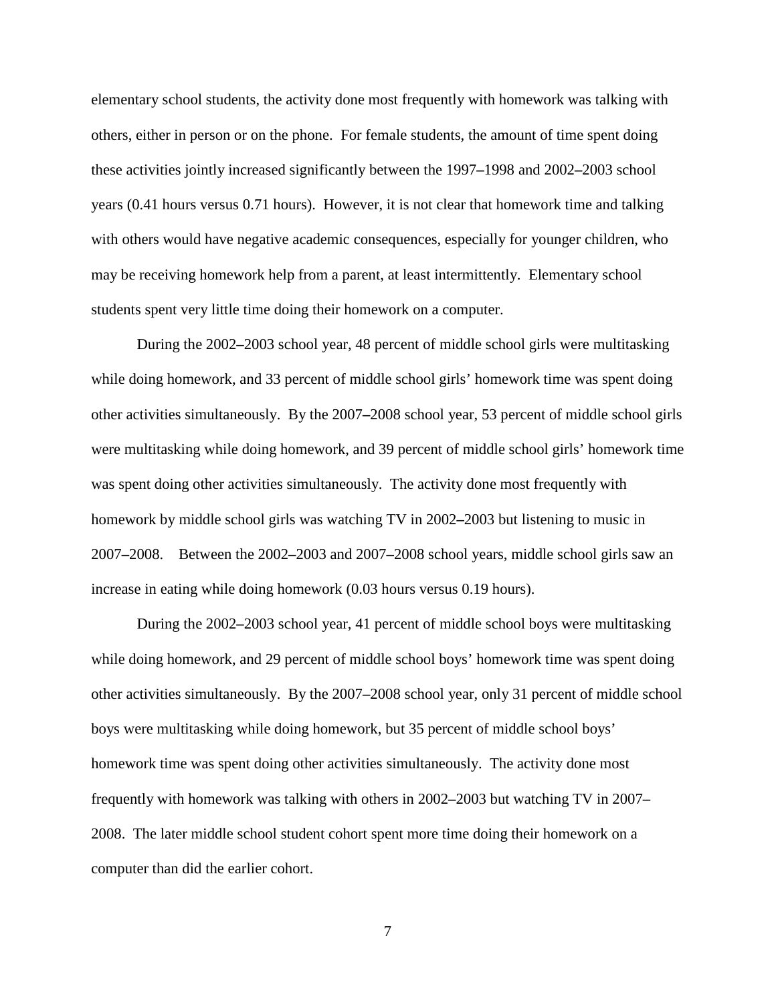elementary school students, the activity done most frequently with homework was talking with others, either in person or on the phone. For female students, the amount of time spent doing these activities jointly increased significantly between the 1997**–**1998 and 2002**–**2003 school years (0.41 hours versus 0.71 hours). However, it is not clear that homework time and talking with others would have negative academic consequences, especially for younger children, who may be receiving homework help from a parent, at least intermittently. Elementary school students spent very little time doing their homework on a computer.

During the 2002**–**2003 school year, 48 percent of middle school girls were multitasking while doing homework, and 33 percent of middle school girls' homework time was spent doing other activities simultaneously. By the 2007**–**2008 school year, 53 percent of middle school girls were multitasking while doing homework, and 39 percent of middle school girls' homework time was spent doing other activities simultaneously. The activity done most frequently with homework by middle school girls was watching TV in 2002**–**2003 but listening to music in 2007**–**2008. Between the 2002**–**2003 and 2007**–**2008 school years, middle school girls saw an increase in eating while doing homework (0.03 hours versus 0.19 hours).

During the 2002**–**2003 school year, 41 percent of middle school boys were multitasking while doing homework, and 29 percent of middle school boys' homework time was spent doing other activities simultaneously. By the 2007**–**2008 school year, only 31 percent of middle school boys were multitasking while doing homework, but 35 percent of middle school boys' homework time was spent doing other activities simultaneously. The activity done most frequently with homework was talking with others in 2002**–**2003 but watching TV in 2007**–** 2008. The later middle school student cohort spent more time doing their homework on a computer than did the earlier cohort.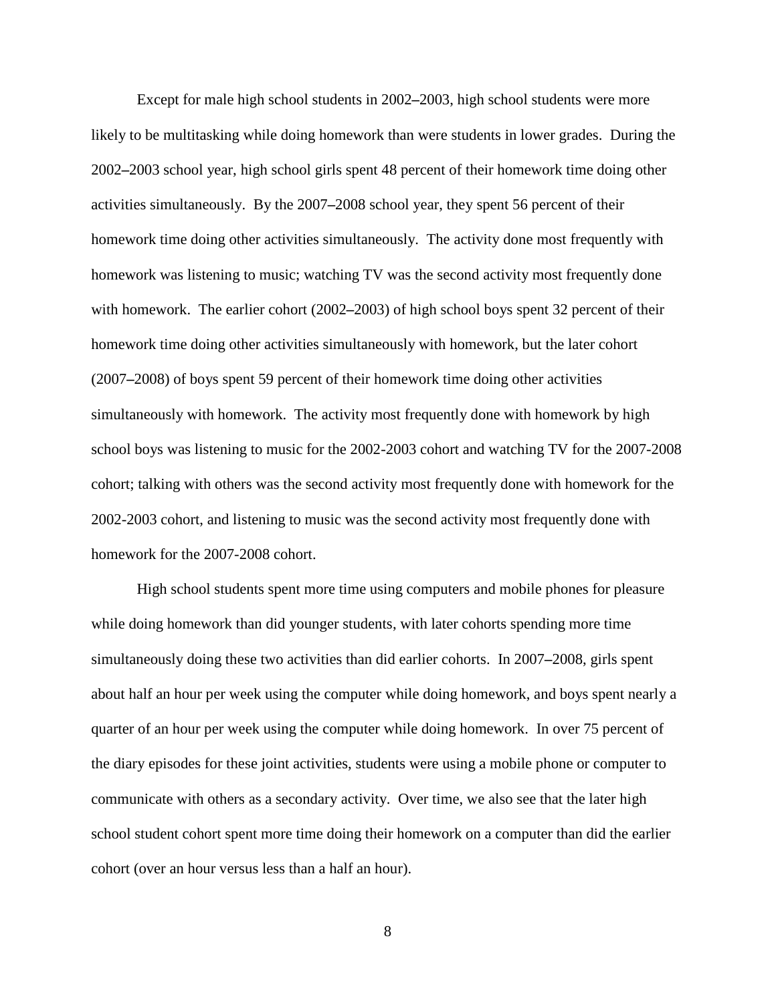Except for male high school students in 2002**–**2003, high school students were more likely to be multitasking while doing homework than were students in lower grades. During the 2002**–**2003 school year, high school girls spent 48 percent of their homework time doing other activities simultaneously. By the 2007**–**2008 school year, they spent 56 percent of their homework time doing other activities simultaneously. The activity done most frequently with homework was listening to music; watching TV was the second activity most frequently done with homework. The earlier cohort (2002**–**2003) of high school boys spent 32 percent of their homework time doing other activities simultaneously with homework, but the later cohort (2007**–**2008) of boys spent 59 percent of their homework time doing other activities simultaneously with homework. The activity most frequently done with homework by high school boys was listening to music for the 2002-2003 cohort and watching TV for the 2007-2008 cohort; talking with others was the second activity most frequently done with homework for the 2002-2003 cohort, and listening to music was the second activity most frequently done with homework for the 2007-2008 cohort.

High school students spent more time using computers and mobile phones for pleasure while doing homework than did younger students, with later cohorts spending more time simultaneously doing these two activities than did earlier cohorts. In 2007**–**2008, girls spent about half an hour per week using the computer while doing homework, and boys spent nearly a quarter of an hour per week using the computer while doing homework. In over 75 percent of the diary episodes for these joint activities, students were using a mobile phone or computer to communicate with others as a secondary activity. Over time, we also see that the later high school student cohort spent more time doing their homework on a computer than did the earlier cohort (over an hour versus less than a half an hour).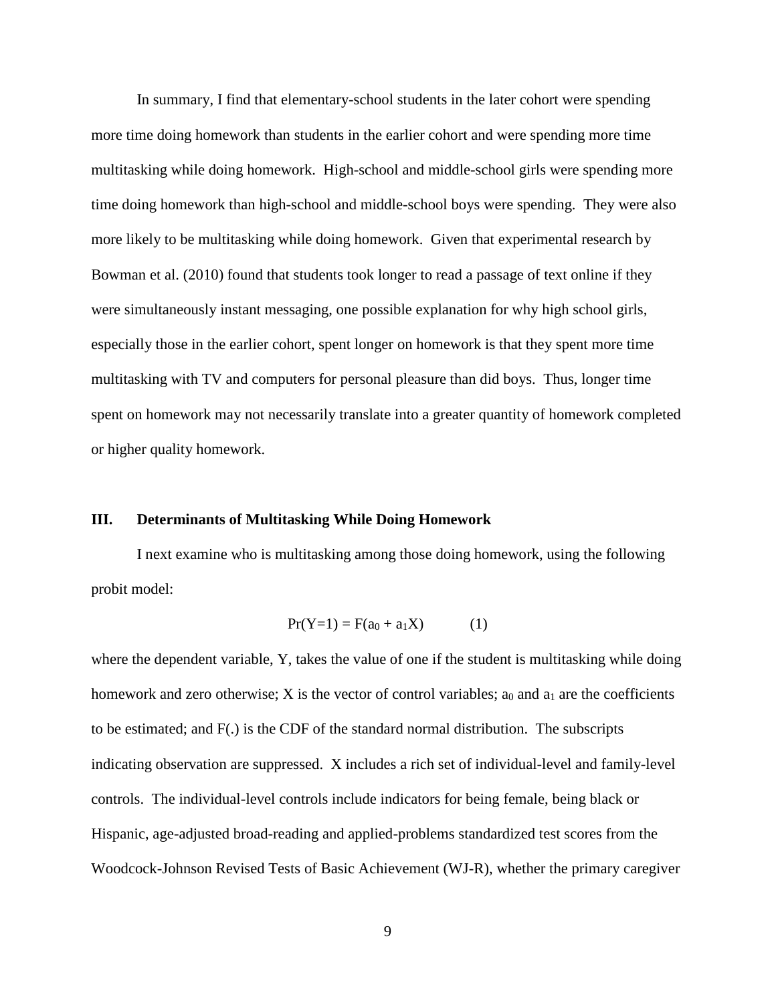In summary, I find that elementary-school students in the later cohort were spending more time doing homework than students in the earlier cohort and were spending more time multitasking while doing homework. High-school and middle-school girls were spending more time doing homework than high-school and middle-school boys were spending. They were also more likely to be multitasking while doing homework. Given that experimental research by Bowman et al. (2010) found that students took longer to read a passage of text online if they were simultaneously instant messaging, one possible explanation for why high school girls, especially those in the earlier cohort, spent longer on homework is that they spent more time multitasking with TV and computers for personal pleasure than did boys. Thus, longer time spent on homework may not necessarily translate into a greater quantity of homework completed or higher quality homework.

#### **III. Determinants of Multitasking While Doing Homework**

I next examine who is multitasking among those doing homework, using the following probit model:

$$
Pr(Y=1) = F(a_0 + a_1X) \tag{1}
$$

where the dependent variable, Y, takes the value of one if the student is multitasking while doing homework and zero otherwise; X is the vector of control variables;  $a_0$  and  $a_1$  are the coefficients to be estimated; and F(.) is the CDF of the standard normal distribution. The subscripts indicating observation are suppressed. X includes a rich set of individual-level and family-level controls. The individual-level controls include indicators for being female, being black or Hispanic, age-adjusted broad-reading and applied-problems standardized test scores from the Woodcock-Johnson Revised Tests of Basic Achievement (WJ-R), whether the primary caregiver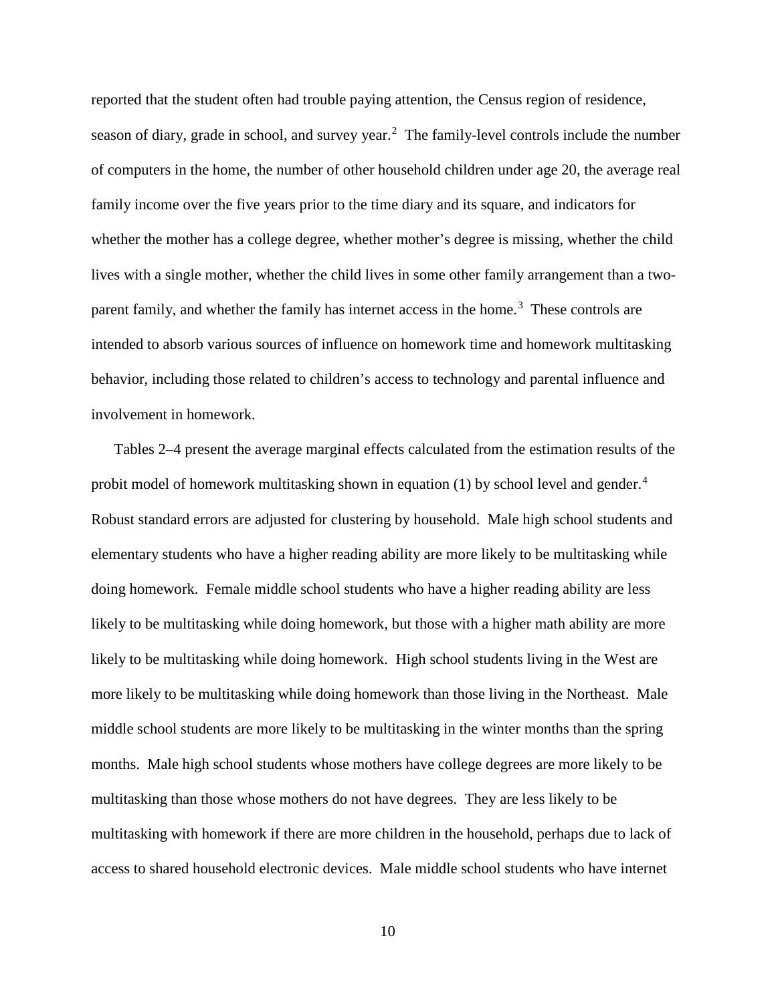reported that the student often had trouble paying attention, the Census region of residence, season of diary, grade in school, and survey year.<sup>[2](#page-14-1)</sup> The family-level controls include the number of computers in the home, the number of other household children under age 20, the average real family income over the five years prior to the time diary and its square, and indicators for whether the mother has a college degree, whether mother's degree is missing, whether the child lives with a single mother, whether the child lives in some other family arrangement than a two-parent family, and whether the family has internet access in the home.<sup>[3](#page-14-2)</sup> These controls are intended to absorb various sources of influence on homework time and homework multitasking behavior, including those related to children's access to technology and parental influence and involvement in homework.

Tables 2–4 present the average marginal effects calculated from the estimation results of the probit model of homework multitasking shown in equation (1) by school level and gender. $4$ Robust standard errors are adjusted for clustering by household. Male high school students and elementary students who have a higher reading ability are more likely to be multitasking while doing homework. Female middle school students who have a higher reading ability are less likely to be multitasking while doing homework, but those with a higher math ability are more likely to be multitasking while doing homework. High school students living in the West are more likely to be multitasking while doing homework than those living in the Northeast. Male middle school students are more likely to be multitasking in the winter months than the spring months. Male high school students whose mothers have college degrees are more likely to be multitasking than those whose mothers do not have degrees. They are less likely to be multitasking with homework if there are more children in the household, perhaps due to lack of access to shared household electronic devices. Male middle school students who have internet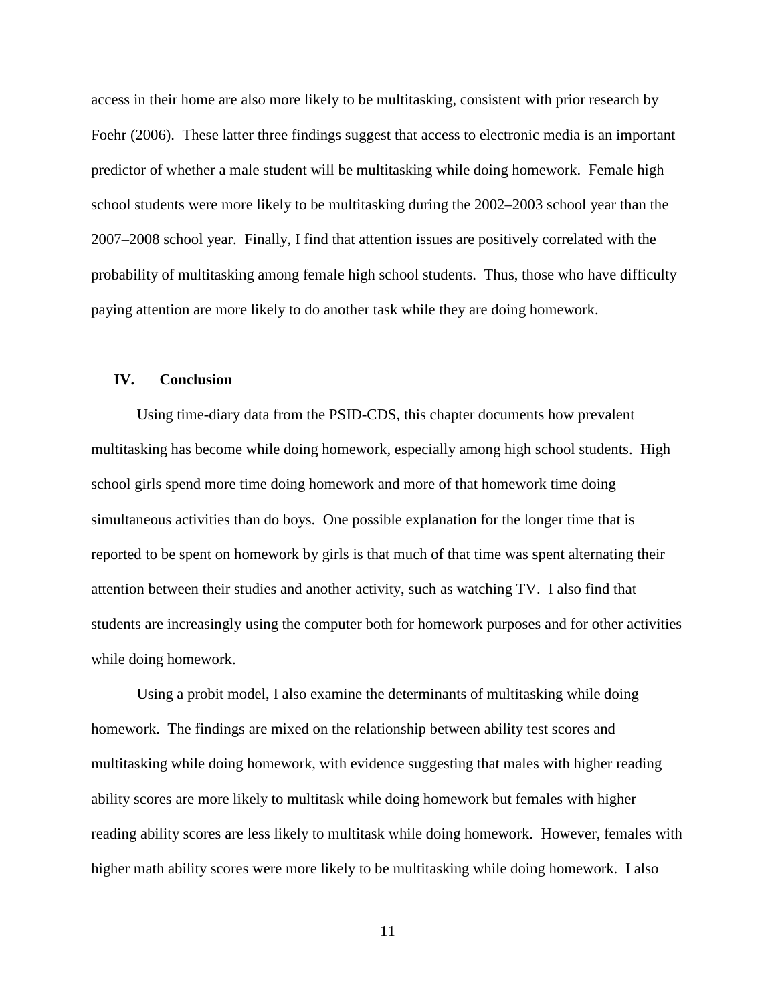access in their home are also more likely to be multitasking, consistent with prior research by Foehr (2006). These latter three findings suggest that access to electronic media is an important predictor of whether a male student will be multitasking while doing homework. Female high school students were more likely to be multitasking during the 2002–2003 school year than the 2007–2008 school year. Finally, I find that attention issues are positively correlated with the probability of multitasking among female high school students. Thus, those who have difficulty paying attention are more likely to do another task while they are doing homework.

#### **IV. Conclusion**

Using time-diary data from the PSID-CDS, this chapter documents how prevalent multitasking has become while doing homework, especially among high school students. High school girls spend more time doing homework and more of that homework time doing simultaneous activities than do boys. One possible explanation for the longer time that is reported to be spent on homework by girls is that much of that time was spent alternating their attention between their studies and another activity, such as watching TV. I also find that students are increasingly using the computer both for homework purposes and for other activities while doing homework.

Using a probit model, I also examine the determinants of multitasking while doing homework. The findings are mixed on the relationship between ability test scores and multitasking while doing homework, with evidence suggesting that males with higher reading ability scores are more likely to multitask while doing homework but females with higher reading ability scores are less likely to multitask while doing homework. However, females with higher math ability scores were more likely to be multitasking while doing homework. I also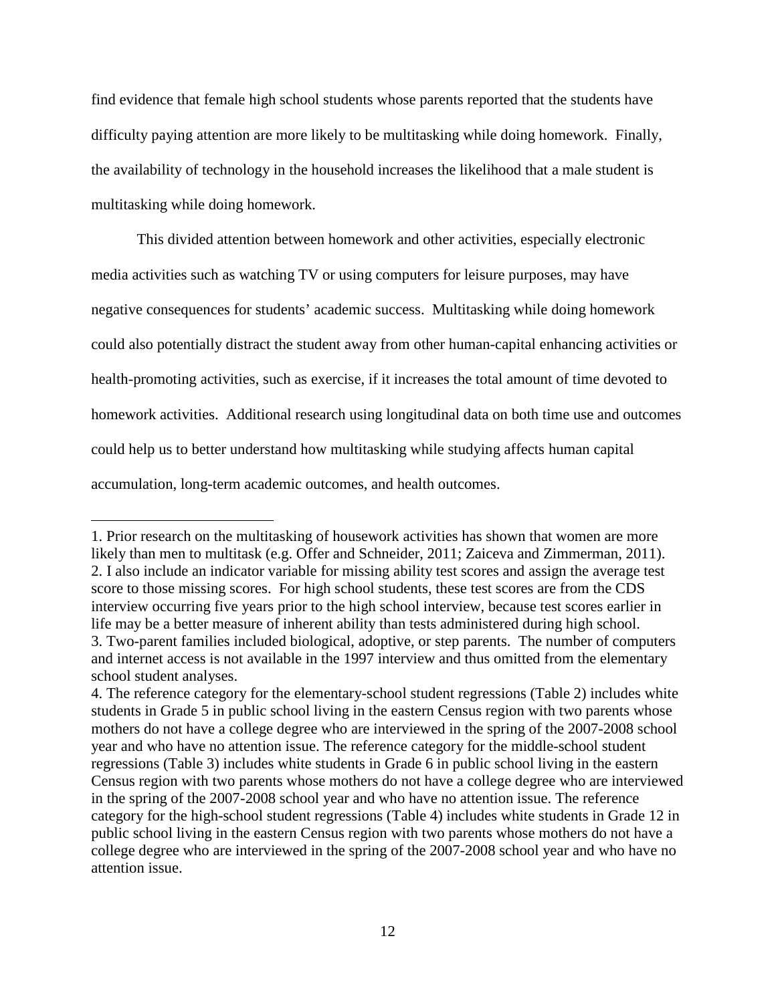find evidence that female high school students whose parents reported that the students have difficulty paying attention are more likely to be multitasking while doing homework. Finally, the availability of technology in the household increases the likelihood that a male student is multitasking while doing homework.

This divided attention between homework and other activities, especially electronic media activities such as watching TV or using computers for leisure purposes, may have negative consequences for students' academic success. Multitasking while doing homework could also potentially distract the student away from other human-capital enhancing activities or health-promoting activities, such as exercise, if it increases the total amount of time devoted to homework activities. Additional research using longitudinal data on both time use and outcomes could help us to better understand how multitasking while studying affects human capital accumulation, long-term academic outcomes, and health outcomes.

 $\overline{\phantom{a}}$ 

<span id="page-14-1"></span><span id="page-14-0"></span><sup>1.</sup> Prior research on the multitasking of housework activities has shown that women are more likely than men to multitask (e.g. Offer and Schneider, 2011; Zaiceva and Zimmerman, 2011). 2. I also include an indicator variable for missing ability test scores and assign the average test score to those missing scores. For high school students, these test scores are from the CDS interview occurring five years prior to the high school interview, because test scores earlier in life may be a better measure of inherent ability than tests administered during high school. 3. Two-parent families included biological, adoptive, or step parents. The number of computers and internet access is not available in the 1997 interview and thus omitted from the elementary school student analyses.

<span id="page-14-3"></span><span id="page-14-2"></span><sup>4.</sup> The reference category for the elementary-school student regressions (Table 2) includes white students in Grade 5 in public school living in the eastern Census region with two parents whose mothers do not have a college degree who are interviewed in the spring of the 2007-2008 school year and who have no attention issue. The reference category for the middle-school student regressions (Table 3) includes white students in Grade 6 in public school living in the eastern Census region with two parents whose mothers do not have a college degree who are interviewed in the spring of the 2007-2008 school year and who have no attention issue. The reference category for the high-school student regressions (Table 4) includes white students in Grade 12 in public school living in the eastern Census region with two parents whose mothers do not have a college degree who are interviewed in the spring of the 2007-2008 school year and who have no attention issue.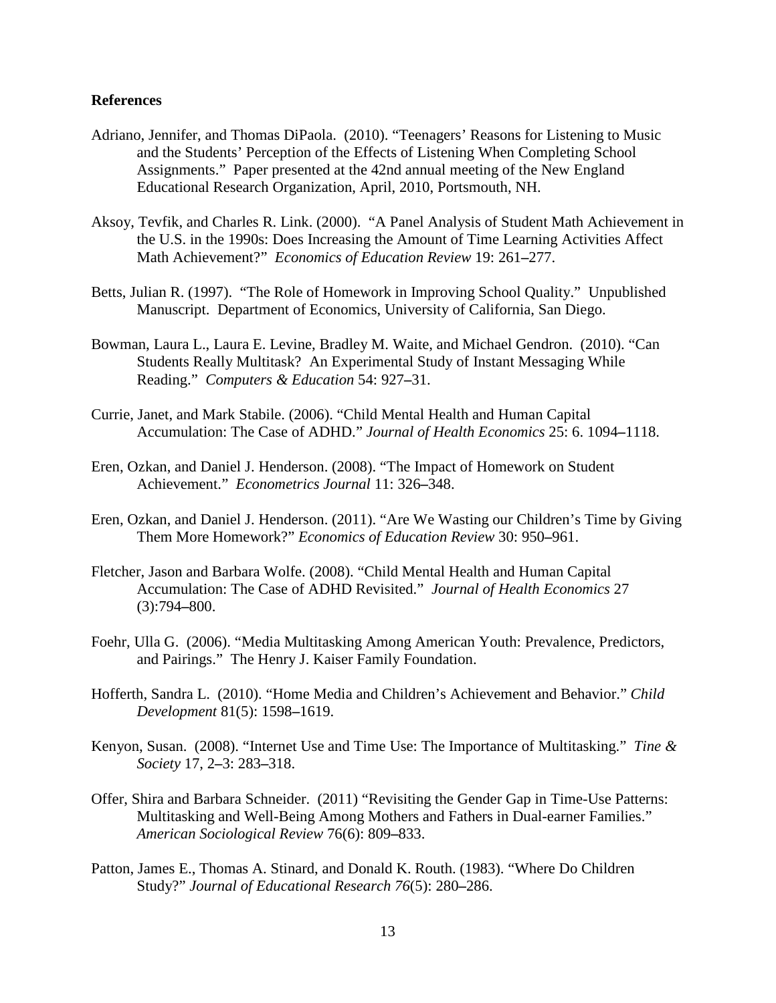#### **References**

- Adriano, Jennifer, and Thomas DiPaola. (2010). "Teenagers' Reasons for Listening to Music and the Students' Perception of the Effects of Listening When Completing School Assignments." Paper presented at the 42nd annual meeting of the New England Educational Research Organization, April, 2010, Portsmouth, NH.
- Aksoy, Tevfik, and Charles R. Link. (2000). "A Panel Analysis of Student Math Achievement in the U.S. in the 1990s: Does Increasing the Amount of Time Learning Activities Affect Math Achievement?" *Economics of Education Review* 19: 261**–**277.
- Betts, Julian R. (1997). "The Role of Homework in Improving School Quality." Unpublished Manuscript. Department of Economics, University of California, San Diego.
- Bowman, Laura L., Laura E. Levine, Bradley M. Waite, and Michael Gendron. (2010). "Can Students Really Multitask? An Experimental Study of Instant Messaging While Reading." *Computers & Education* 54: 927**–**31.
- Currie, Janet, and Mark Stabile. (2006). "Child Mental Health and Human Capital Accumulation: The Case of ADHD." *Journal of Health Economics* 25: 6. 1094**–**1118.
- Eren, Ozkan, and Daniel J. Henderson. (2008). "The Impact of Homework on Student Achievement." *Econometrics Journal* 11: 326**–**348.
- Eren, Ozkan, and Daniel J. Henderson. (2011). "Are We Wasting our Children's Time by Giving Them More Homework?" *Economics of Education Review* 30: 950**–**961.
- Fletcher, Jason and Barbara Wolfe. (2008). "Child Mental Health and Human Capital Accumulation: The Case of ADHD Revisited." *Journal of Health Economics* 27 (3):794**–**800.
- Foehr, Ulla G. (2006). "Media Multitasking Among American Youth: Prevalence, Predictors, and Pairings." The Henry J. Kaiser Family Foundation.
- Hofferth, Sandra L. (2010). "Home Media and Children's Achievement and Behavior." *Child Development* 81(5): 1598**–**1619.
- Kenyon, Susan. (2008). "Internet Use and Time Use: The Importance of Multitasking." *Tine & Society* 17, 2**–**3: 283**–**318.
- Offer, Shira and Barbara Schneider. (2011) "Revisiting the Gender Gap in Time-Use Patterns: Multitasking and Well-Being Among Mothers and Fathers in Dual-earner Families." *American Sociological Review* 76(6): 809**–**833.
- Patton, James E., Thomas A. Stinard, and Donald K. Routh. (1983). "Where Do Children Study?" *Journal of Educational Research 76*(5): 280**–**286.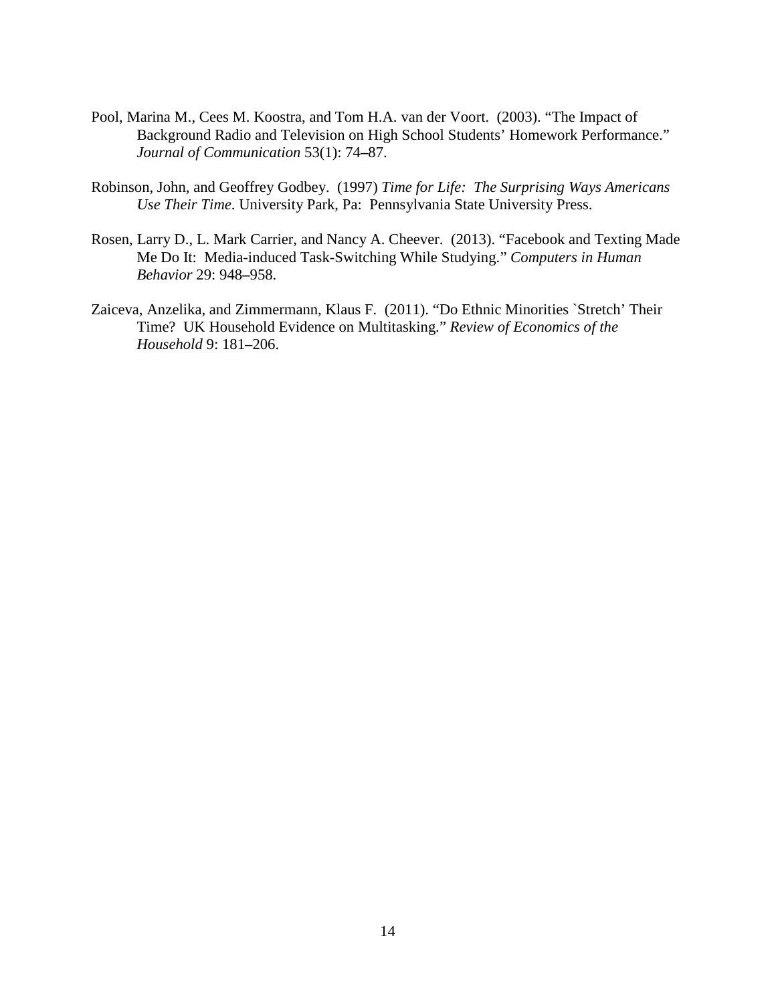- Pool, Marina M., Cees M. Koostra, and Tom H.A. van der Voort. (2003). "The Impact of Background Radio and Television on High School Students' Homework Performance." *Journal of Communication* 53(1): 74**–**87.
- Robinson, John, and Geoffrey Godbey. (1997) *Time for Life: The Surprising Ways Americans Use Their Time*. University Park, Pa: Pennsylvania State University Press.
- Rosen, Larry D., L. Mark Carrier, and Nancy A. Cheever. (2013). "Facebook and Texting Made Me Do It: Media-induced Task-Switching While Studying." *Computers in Human Behavior* 29: 948**–**958.
- Zaiceva, Anzelika, and Zimmermann, Klaus F. (2011). "Do Ethnic Minorities `Stretch' Their Time? UK Household Evidence on Multitasking." *Review of Economics of the Household* 9: 181**–**206.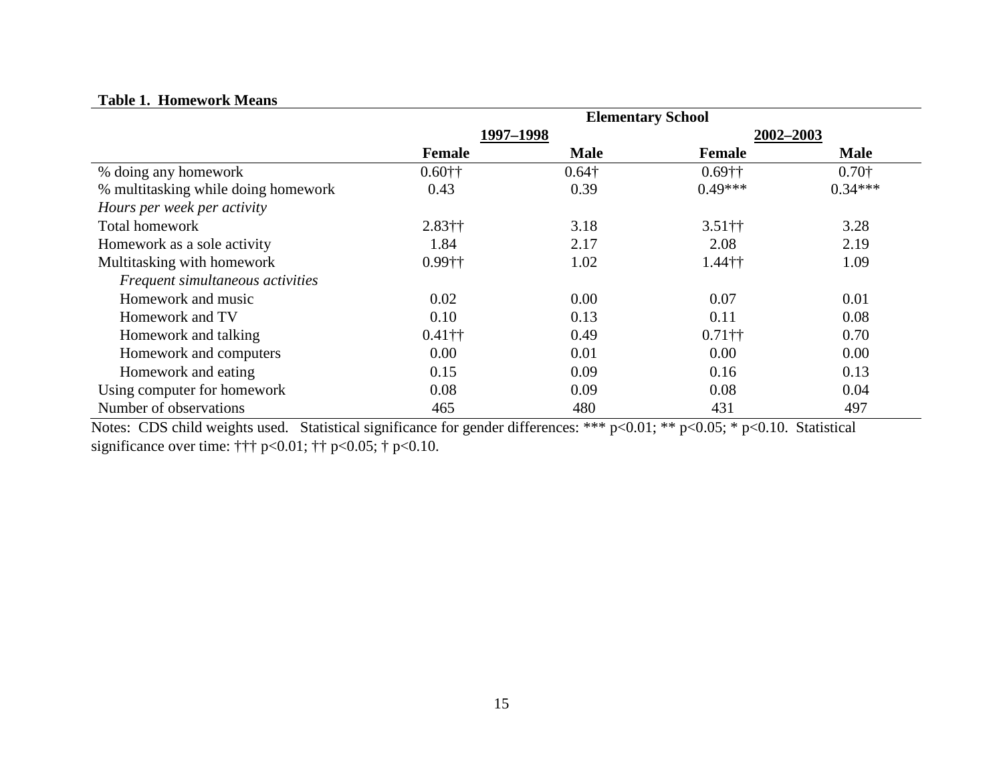#### **Table 1. Homework Means**

|                                     | <b>Elementary School</b> |               |                                        |               |
|-------------------------------------|--------------------------|---------------|----------------------------------------|---------------|
|                                     | 1997-1998                |               |                                        | 2002-2003     |
|                                     | <b>Female</b>            | <b>Male</b>   | <b>Female</b>                          | <b>Male</b>   |
| % doing any homework                | $0.60$ ††                | $0.64\dagger$ | $0.69$ ††                              | $0.70\dagger$ |
| % multitasking while doing homework | 0.43                     | 0.39          | $0.49***$                              | $0.34***$     |
| Hours per week per activity         |                          |               |                                        |               |
| <b>Total homework</b>               | $2.83$ ††                | 3.18          | $3.51$ <sup><math>\dagger</math></sup> | 3.28          |
| Homework as a sole activity         | 1.84                     | 2.17          | 2.08                                   | 2.19          |
| Multitasking with homework          | 0.99††                   | 1.02          | $1.44$ ††                              | 1.09          |
| Frequent simultaneous activities    |                          |               |                                        |               |
| Homework and music                  | 0.02                     | 0.00          | 0.07                                   | 0.01          |
| Homework and TV                     | 0.10                     | 0.13          | 0.11                                   | 0.08          |
| Homework and talking                | $0.41$ ††                | 0.49          | $0.71$ ††                              | 0.70          |
| Homework and computers              | 0.00                     | 0.01          | 0.00                                   | 0.00          |
| Homework and eating                 | 0.15                     | 0.09          | 0.16                                   | 0.13          |
| Using computer for homework         | 0.08                     | 0.09          | 0.08                                   | 0.04          |
| Number of observations              | 465                      | 480           | 431                                    | 497           |

Notes: CDS child weights used. Statistical significance for gender differences: \*\*\* p<0.01; \*\* p<0.05; \* p<0.10. Statistical significance over time: ††† p<0.01; †† p<0.05; † p<0.10.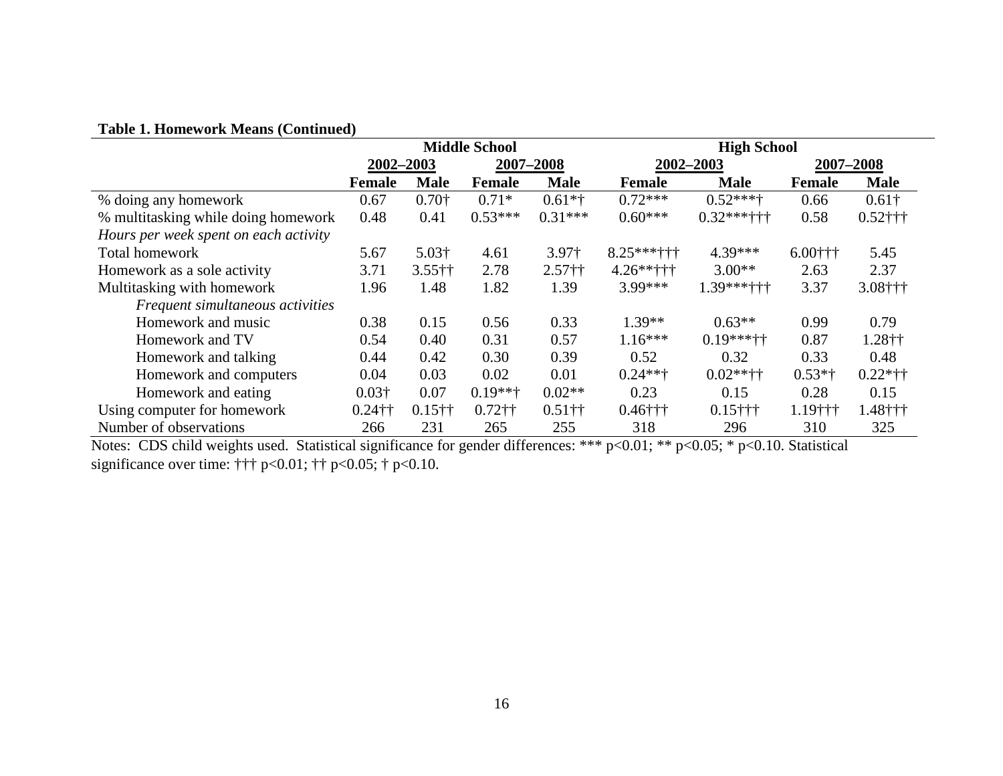| <b>Table 1. Homework Means (Continued)</b> |  |  |  |  |
|--------------------------------------------|--|--|--|--|
|--------------------------------------------|--|--|--|--|

| Table 1: Homework Means (Continued)   |                      |               |           |                    |                   |                 |               |               |
|---------------------------------------|----------------------|---------------|-----------|--------------------|-------------------|-----------------|---------------|---------------|
|                                       | <b>Middle School</b> |               |           | <b>High School</b> |                   |                 |               |               |
|                                       | 2002-2003            |               | 2007-2008 |                    | 2002-2003         |                 | 2007-2008     |               |
|                                       | <b>Female</b>        | <b>Male</b>   | Female    | <b>Male</b>        | Female            | <b>Male</b>     | <b>Female</b> | <b>Male</b>   |
| % doing any homework                  | 0.67                 | $0.70\dagger$ | $0.71*$   | $0.61**$           | $0.72***$         | $0.52***$       | 0.66          | $0.61\dagger$ |
| % multitasking while doing homework   | 0.48                 | 0.41          | $0.53***$ | $0.31***$          | $0.60***$         | $0.32***$ + + + | 0.58          | $0.52$ †††    |
| Hours per week spent on each activity |                      |               |           |                    |                   |                 |               |               |
| <b>Total homework</b>                 | 5.67                 | $5.03\dagger$ | 4.61      | 3.97 <sub>†</sub>  | $8.25***$ + + + + | 4.39***         | $6.00$ † † †  | 5.45          |
| Homework as a sole activity           | 3.71                 | $3.55$ ††     | 2.78      | $2.57++$           | $4.26***$         | $3.00**$        | 2.63          | 2.37          |
| Multitasking with homework            | 1.96                 | 1.48          | 1.82      | 1.39               | 3.99***           | $1.39***++$     | 3.37          | $3.08$ †††    |
| Frequent simultaneous activities      |                      |               |           |                    |                   |                 |               |               |
| Homework and music                    | 0.38                 | 0.15          | 0.56      | 0.33               | $1.39**$          | $0.63**$        | 0.99          | 0.79          |
| Homework and TV                       | 0.54                 | 0.40          | 0.31      | 0.57               | $1.16***$         | $0.19***++$     | 0.87          | 1.28††        |
| Homework and talking                  | 0.44                 | 0.42          | 0.30      | 0.39               | 0.52              | 0.32            | 0.33          | 0.48          |
| Homework and computers                | 0.04                 | 0.03          | 0.02      | 0.01               | $0.24**+$         | $0.02**++$      | $0.53*$ †     | $0.22*++$     |
| Homework and eating                   | $0.03\dagger$        | 0.07          | $0.19***$ | $0.02**$           | 0.23              | 0.15            | 0.28          | 0.15          |
| Using computer for homework           | $0.24$ ††            | $0.15$ ††     | $0.72$ †† | $0.51$ ††          | $0.46$ †††        | $0.15$ †††      | $1.19$ †††    | 1.48†††       |
| Number of observations                | 266                  | 231           | 265       | 255                | 318               | 296             | 310           | 325           |

Notes: CDS child weights used. Statistical significance for gender differences: \*\*\* p<0.01; \*\* p<0.05; \* p<0.10. Statistical significance over time: ††† p<0.01; †† p<0.05; † p<0.10.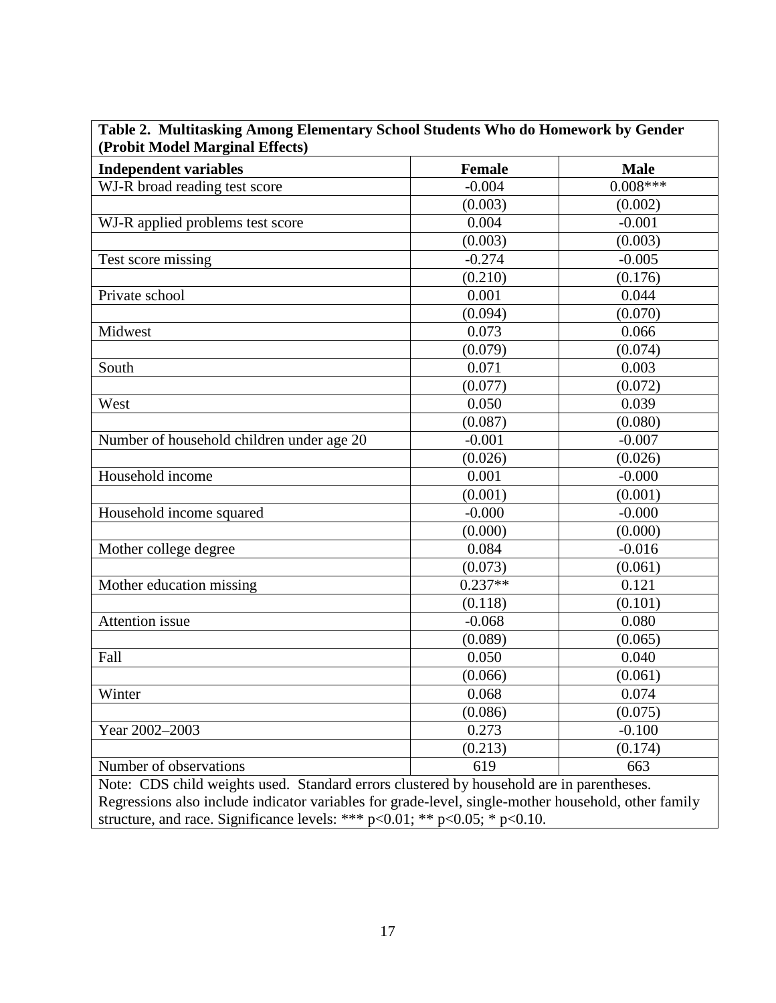| (Probit Model Marginal Effects)<br><b>Independent variables</b>                                     | <b>Female</b> | <b>Male</b> |
|-----------------------------------------------------------------------------------------------------|---------------|-------------|
|                                                                                                     | $-0.004$      | $0.008***$  |
| WJ-R broad reading test score                                                                       | (0.003)       |             |
|                                                                                                     |               | (0.002)     |
| WJ-R applied problems test score                                                                    | 0.004         | $-0.001$    |
|                                                                                                     | (0.003)       | (0.003)     |
| Test score missing                                                                                  | $-0.274$      | $-0.005$    |
|                                                                                                     | (0.210)       | (0.176)     |
| Private school                                                                                      | 0.001         | 0.044       |
|                                                                                                     | (0.094)       | (0.070)     |
| Midwest                                                                                             | 0.073         | 0.066       |
|                                                                                                     | (0.079)       | (0.074)     |
| South                                                                                               | 0.071         | 0.003       |
|                                                                                                     | (0.077)       | (0.072)     |
| West                                                                                                | 0.050         | 0.039       |
|                                                                                                     | (0.087)       | (0.080)     |
| Number of household children under age 20                                                           | $-0.001$      | $-0.007$    |
|                                                                                                     | (0.026)       | (0.026)     |
| Household income                                                                                    | 0.001         | $-0.000$    |
|                                                                                                     | (0.001)       | (0.001)     |
| Household income squared                                                                            | $-0.000$      | $-0.000$    |
|                                                                                                     | (0.000)       | (0.000)     |
| Mother college degree                                                                               | 0.084         | $-0.016$    |
|                                                                                                     | (0.073)       | (0.061)     |
| Mother education missing                                                                            | $0.237**$     | 0.121       |
|                                                                                                     | (0.118)       | (0.101)     |
| Attention issue                                                                                     | $-0.068$      | 0.080       |
|                                                                                                     | (0.089)       | (0.065)     |
| Fall                                                                                                | 0.050         | 0.040       |
|                                                                                                     | (0.066)       | (0.061)     |
| Winter                                                                                              | 0.068         | 0.074       |
|                                                                                                     | (0.086)       | (0.075)     |
| Year 2002-2003                                                                                      | 0.273         | $-0.100$    |
|                                                                                                     | (0.213)       | (0.174)     |
| Number of observations                                                                              | 619           | 663         |
| Note: CDS child weights used. Standard errors clustered by household are in parentheses.            |               |             |
| Regressions also include indicator variables for grade-level, single-mother household, other family |               |             |

**Table 2. Multitasking Among Elementary School Students Who do Homework by Gender**

 $\mathbf{I}$ 

structure, and race. Significance levels: \*\*\* p<0.01; \*\* p<0.05; \* p<0.10.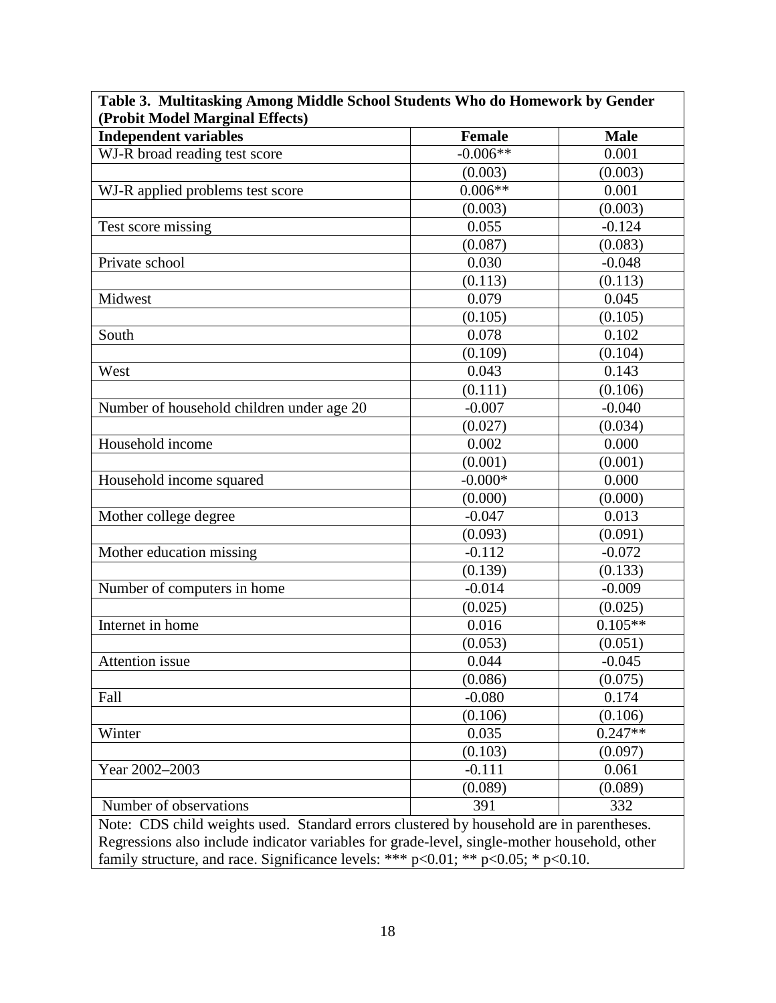| (Probit Model Marginal Effects)                                                                                                                                                          |               |             |  |  |
|------------------------------------------------------------------------------------------------------------------------------------------------------------------------------------------|---------------|-------------|--|--|
| <b>Independent variables</b>                                                                                                                                                             | <b>Female</b> | <b>Male</b> |  |  |
| WJ-R broad reading test score                                                                                                                                                            | $-0.006**$    | 0.001       |  |  |
|                                                                                                                                                                                          | (0.003)       | (0.003)     |  |  |
| WJ-R applied problems test score                                                                                                                                                         | $0.006**$     | 0.001       |  |  |
|                                                                                                                                                                                          | (0.003)       | (0.003)     |  |  |
| Test score missing                                                                                                                                                                       | 0.055         | $-0.124$    |  |  |
|                                                                                                                                                                                          | (0.087)       | (0.083)     |  |  |
| Private school                                                                                                                                                                           | 0.030         | $-0.048$    |  |  |
|                                                                                                                                                                                          | (0.113)       | (0.113)     |  |  |
| Midwest                                                                                                                                                                                  | 0.079         | 0.045       |  |  |
|                                                                                                                                                                                          | (0.105)       | (0.105)     |  |  |
| South                                                                                                                                                                                    | 0.078         | 0.102       |  |  |
|                                                                                                                                                                                          | (0.109)       | (0.104)     |  |  |
| West                                                                                                                                                                                     | 0.043         | 0.143       |  |  |
|                                                                                                                                                                                          | (0.111)       | (0.106)     |  |  |
| Number of household children under age 20                                                                                                                                                | $-0.007$      | $-0.040$    |  |  |
|                                                                                                                                                                                          | (0.027)       | (0.034)     |  |  |
| Household income                                                                                                                                                                         | 0.002         | 0.000       |  |  |
|                                                                                                                                                                                          | (0.001)       | (0.001)     |  |  |
| Household income squared                                                                                                                                                                 | $-0.000*$     | 0.000       |  |  |
|                                                                                                                                                                                          | (0.000)       | (0.000)     |  |  |
| Mother college degree                                                                                                                                                                    | $-0.047$      | 0.013       |  |  |
|                                                                                                                                                                                          | (0.093)       | (0.091)     |  |  |
| Mother education missing                                                                                                                                                                 | $-0.112$      | $-0.072$    |  |  |
|                                                                                                                                                                                          | (0.139)       | (0.133)     |  |  |
| Number of computers in home                                                                                                                                                              | $-0.014$      | $-0.009$    |  |  |
|                                                                                                                                                                                          | (0.025)       | (0.025)     |  |  |
| Internet in home                                                                                                                                                                         | 0.016         | $0.105**$   |  |  |
|                                                                                                                                                                                          | (0.053)       | (0.051)     |  |  |
| Attention issue                                                                                                                                                                          | 0.044         | $-0.045$    |  |  |
|                                                                                                                                                                                          | (0.086)       | (0.075)     |  |  |
| Fall                                                                                                                                                                                     | $-0.080$      | 0.174       |  |  |
|                                                                                                                                                                                          | (0.106)       | (0.106)     |  |  |
| Winter                                                                                                                                                                                   | 0.035         | $0.247**$   |  |  |
|                                                                                                                                                                                          | (0.103)       | (0.097)     |  |  |
| Year 2002-2003                                                                                                                                                                           | $-0.111$      | 0.061       |  |  |
|                                                                                                                                                                                          | (0.089)       | (0.089)     |  |  |
| Number of observations                                                                                                                                                                   | 391           | 332         |  |  |
|                                                                                                                                                                                          |               |             |  |  |
| Note: CDS child weights used. Standard errors clustered by household are in parentheses.<br>Regressions also include indicator variables for grade-level, single-mother household, other |               |             |  |  |
|                                                                                                                                                                                          |               |             |  |  |
| family structure, and race. Significance levels: *** $p<0.01$ ; ** $p<0.05$ ; * $p<0.10$ .                                                                                               |               |             |  |  |

 $\Box$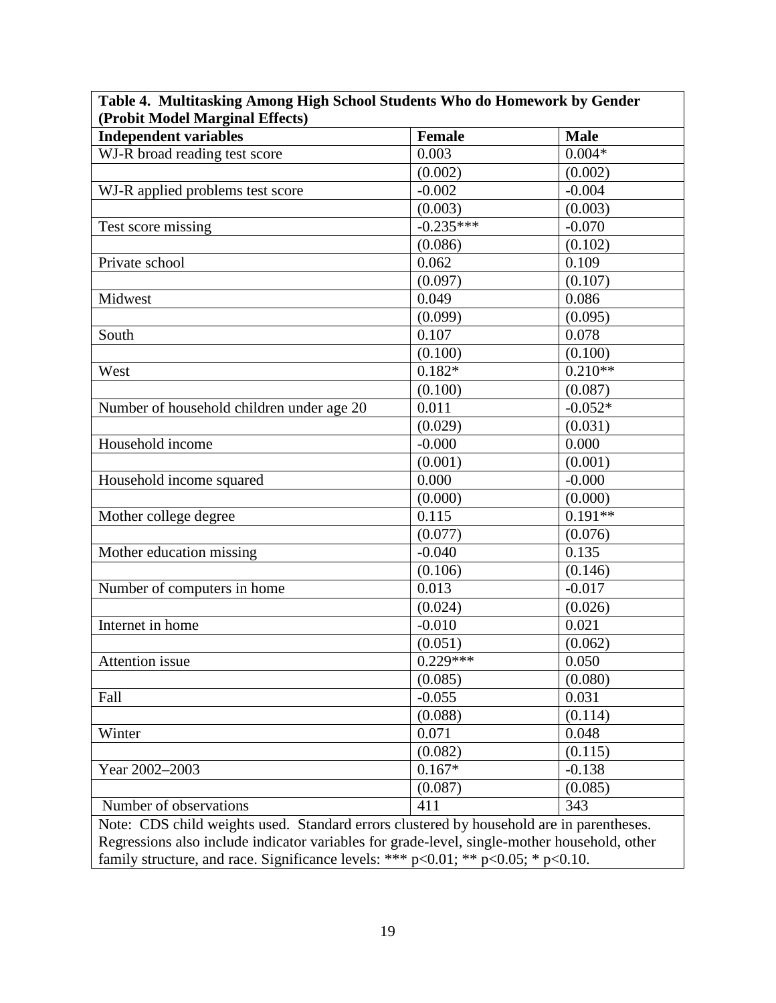| (Probit Model Marginal Effects)                                                              |                     |             |  |  |
|----------------------------------------------------------------------------------------------|---------------------|-------------|--|--|
| <b>Independent variables</b>                                                                 | <b>Female</b>       | <b>Male</b> |  |  |
| WJ-R broad reading test score                                                                | 0.003               | $0.004*$    |  |  |
|                                                                                              | (0.002)             | (0.002)     |  |  |
| WJ-R applied problems test score                                                             | $-0.002$            | $-0.004$    |  |  |
|                                                                                              | (0.003)             | (0.003)     |  |  |
| Test score missing                                                                           | $-0.235***$         | $-0.070$    |  |  |
|                                                                                              | (0.086)             | (0.102)     |  |  |
| Private school                                                                               | 0.062               | 0.109       |  |  |
|                                                                                              | (0.097)             | (0.107)     |  |  |
| Midwest                                                                                      | 0.049               | 0.086       |  |  |
|                                                                                              | (0.099)             | (0.095)     |  |  |
| South                                                                                        | $\overline{0.107}$  | 0.078       |  |  |
|                                                                                              | (0.100)             | (0.100)     |  |  |
| West                                                                                         | $\overline{0.182*}$ | $0.210**$   |  |  |
|                                                                                              | (0.100)             | (0.087)     |  |  |
| Number of household children under age 20                                                    | 0.011               | $-0.052*$   |  |  |
|                                                                                              | (0.029)             | (0.031)     |  |  |
| Household income                                                                             | $-0.000$            | 0.000       |  |  |
|                                                                                              | (0.001)             | (0.001)     |  |  |
| Household income squared                                                                     | 0.000               | $-0.000$    |  |  |
|                                                                                              | (0.000)             | (0.000)     |  |  |
| Mother college degree                                                                        | 0.115               | $0.191**$   |  |  |
|                                                                                              | (0.077)             | (0.076)     |  |  |
| Mother education missing                                                                     | $-0.040$            | 0.135       |  |  |
|                                                                                              | (0.106)             | (0.146)     |  |  |
| Number of computers in home                                                                  | 0.013               | $-0.017$    |  |  |
|                                                                                              | (0.024)             | (0.026)     |  |  |
| Internet in home                                                                             | $-0.010$            | 0.021       |  |  |
|                                                                                              | (0.051)             | (0.062)     |  |  |
| <b>Attention</b> issue                                                                       | $0.229***$          | 0.050       |  |  |
|                                                                                              | (0.085)             | (0.080)     |  |  |
| Fall                                                                                         | $-0.055$            | 0.031       |  |  |
|                                                                                              | (0.088)             | (0.114)     |  |  |
| Winter                                                                                       | 0.071               | 0.048       |  |  |
|                                                                                              | (0.082)             | (0.115)     |  |  |
| Year 2002-2003                                                                               | $0.167*$            | $-0.138$    |  |  |
|                                                                                              | (0.087)             | (0.085)     |  |  |
| Number of observations                                                                       | 411                 | 343         |  |  |
| Note: CDS child weights used. Standard errors clustered by household are in parentheses.     |                     |             |  |  |
| Regressions also include indicator variables for grade-level, single-mother household, other |                     |             |  |  |
| family structure, and race. Significance levels: *** $p<0.01$ ; ** $p<0.05$ ; * $p<0.10$ .   |                     |             |  |  |

# **Table 4. Multitasking Among High School Students Who do Homework by Gender**

┑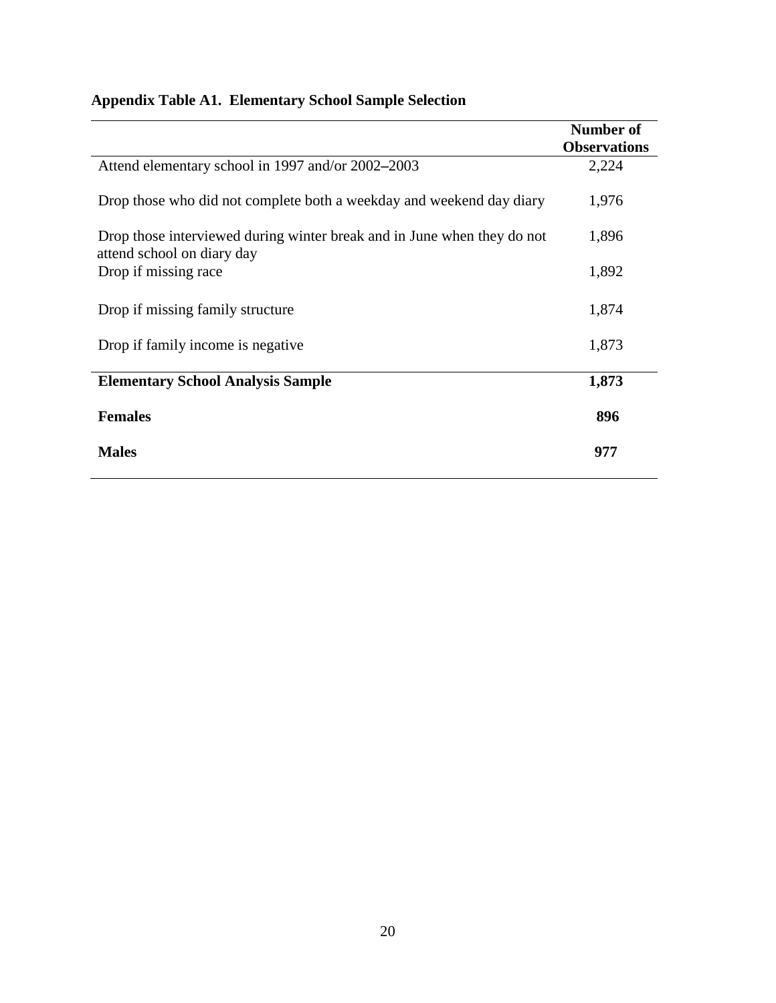|                                                                                                       | Number of           |
|-------------------------------------------------------------------------------------------------------|---------------------|
|                                                                                                       | <b>Observations</b> |
| Attend elementary school in 1997 and/or 2002–2003                                                     | 2,224               |
| Drop those who did not complete both a weekday and weekend day diary                                  | 1,976               |
| Drop those interviewed during winter break and in June when they do not<br>attend school on diary day | 1,896               |
| Drop if missing race                                                                                  | 1,892               |
| Drop if missing family structure                                                                      | 1,874               |
| Drop if family income is negative.                                                                    | 1,873               |
| <b>Elementary School Analysis Sample</b>                                                              | 1,873               |
| <b>Females</b>                                                                                        | 896                 |
| <b>Males</b>                                                                                          | 977                 |

## **Appendix Table A1. Elementary School Sample Selection**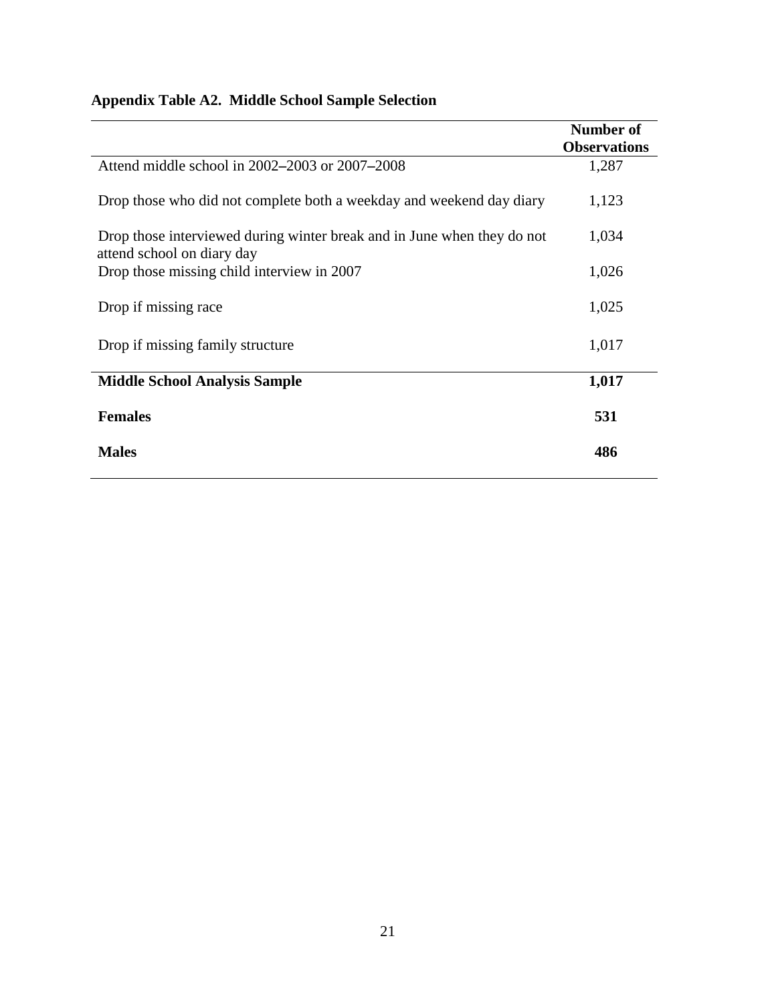## **Appendix Table A2. Middle School Sample Selection**

|                                                                                                       | Number of           |
|-------------------------------------------------------------------------------------------------------|---------------------|
|                                                                                                       | <b>Observations</b> |
| Attend middle school in 2002–2003 or 2007–2008                                                        | 1,287               |
| Drop those who did not complete both a weekday and weekend day diary                                  | 1,123               |
| Drop those interviewed during winter break and in June when they do not<br>attend school on diary day | 1,034               |
| Drop those missing child interview in 2007                                                            | 1,026               |
| Drop if missing race                                                                                  | 1,025               |
| Drop if missing family structure                                                                      | 1,017               |
| <b>Middle School Analysis Sample</b>                                                                  | 1,017               |
| <b>Females</b>                                                                                        | 531                 |
| <b>Males</b>                                                                                          | 486                 |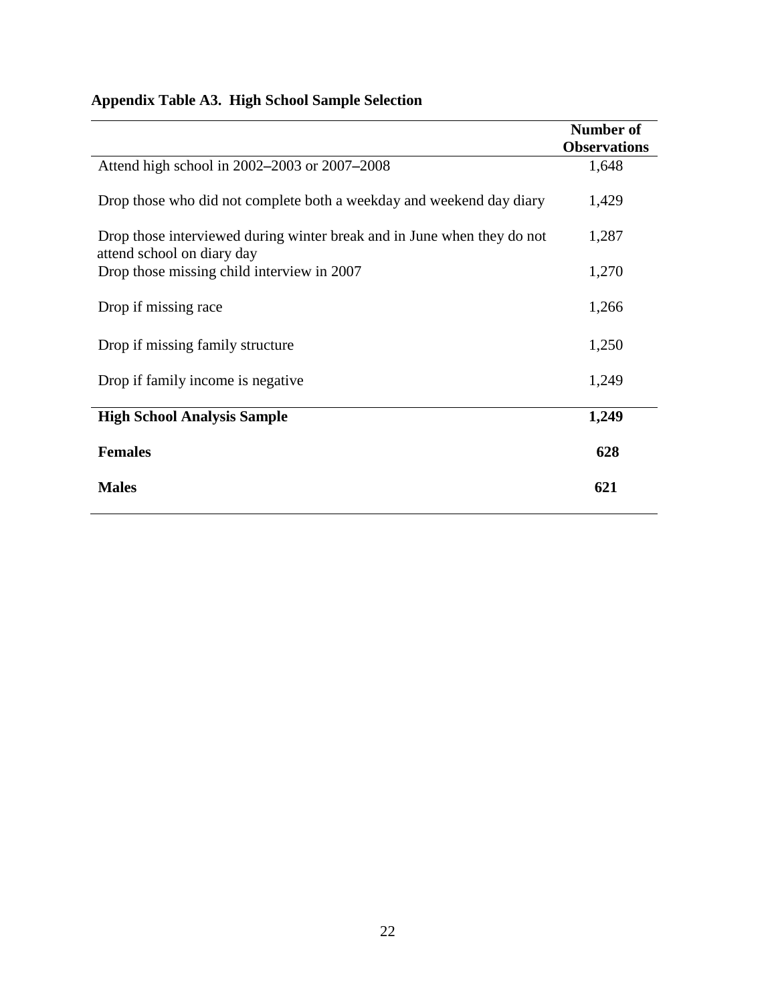# **Appendix Table A3. High School Sample Selection**

|                                                                                                       | <b>Number of</b>    |
|-------------------------------------------------------------------------------------------------------|---------------------|
|                                                                                                       | <b>Observations</b> |
| Attend high school in 2002–2003 or 2007–2008                                                          | 1,648               |
| Drop those who did not complete both a weekday and weekend day diary                                  | 1,429               |
| Drop those interviewed during winter break and in June when they do not<br>attend school on diary day | 1,287               |
| Drop those missing child interview in 2007                                                            | 1,270               |
| Drop if missing race                                                                                  | 1,266               |
| Drop if missing family structure                                                                      | 1,250               |
| Drop if family income is negative.                                                                    | 1,249               |
| <b>High School Analysis Sample</b>                                                                    | 1,249               |
| <b>Females</b>                                                                                        | 628                 |
| <b>Males</b>                                                                                          | 621                 |